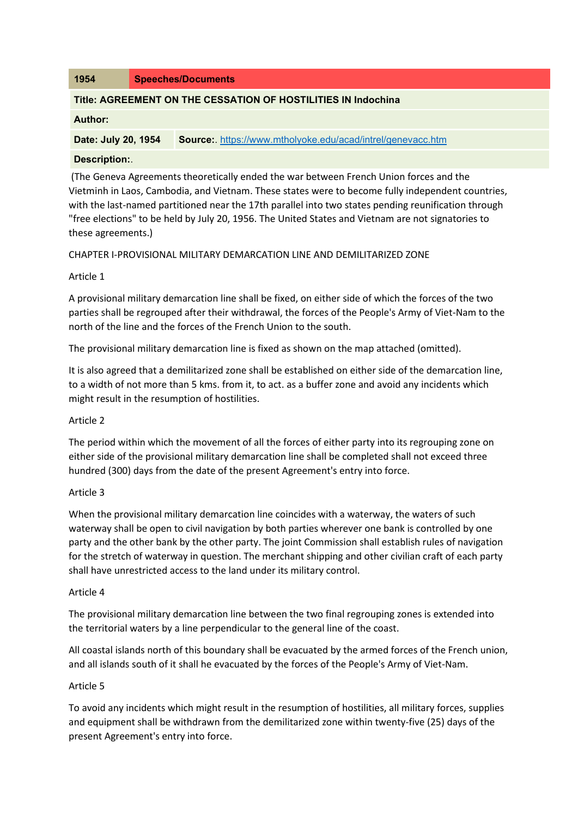| 1954                                                          |  | <b>Speeches/Documents</b>                                         |  |
|---------------------------------------------------------------|--|-------------------------------------------------------------------|--|
| Title: AGREEMENT ON THE CESSATION OF HOSTILITIES IN Indochina |  |                                                                   |  |
| Author:                                                       |  |                                                                   |  |
| Date: July 20, 1954                                           |  | <b>Source:</b> https://www.mtholyoke.edu/acad/intrel/genevacc.htm |  |
| <b>Description:</b>                                           |  |                                                                   |  |

# **Description:**.

(The Geneva Agreements theoretically ended the war between French Union forces and the Vietminh in Laos, Cambodia, and Vietnam. These states were to become fully independent countries, with the last-named partitioned near the 17th parallel into two states pending reunification through "free elections" to be held by July 20, 1956. The United States and Vietnam are not signatories to these agreements.)

CHAPTER I-PROVISIONAL MILITARY DEMARCATION LINE AND DEMILITARIZED ZONE

# Article 1

A provisional military demarcation line shall be fixed, on either side of which the forces of the two parties shall be regrouped after their withdrawal, the forces of the People's Army of Viet-Nam to the north of the line and the forces of the French Union to the south.

The provisional military demarcation line is fixed as shown on the map attached (omitted).

It is also agreed that a demilitarized zone shall be established on either side of the demarcation line, to a width of not more than 5 kms. from it, to act. as a buffer zone and avoid any incidents which might result in the resumption of hostilities.

# Article 2

The period within which the movement of all the forces of either party into its regrouping zone on either side of the provisional military demarcation line shall be completed shall not exceed three hundred (300) days from the date of the present Agreement's entry into force.

# Article 3

When the provisional military demarcation line coincides with a waterway, the waters of such waterway shall be open to civil navigation by both parties wherever one bank is controlled by one party and the other bank by the other party. The joint Commission shall establish rules of navigation for the stretch of waterway in question. The merchant shipping and other civilian craft of each party shall have unrestricted access to the land under its military control.

# Article 4

The provisional military demarcation line between the two final regrouping zones is extended into the territorial waters by a line perpendicular to the general line of the coast.

All coastal islands north of this boundary shall be evacuated by the armed forces of the French union, and all islands south of it shall he evacuated by the forces of the People's Army of Viet-Nam.

# Article 5

To avoid any incidents which might result in the resumption of hostilities, all military forces, supplies and equipment shall be withdrawn from the demilitarized zone within twenty-five (25) days of the present Agreement's entry into force.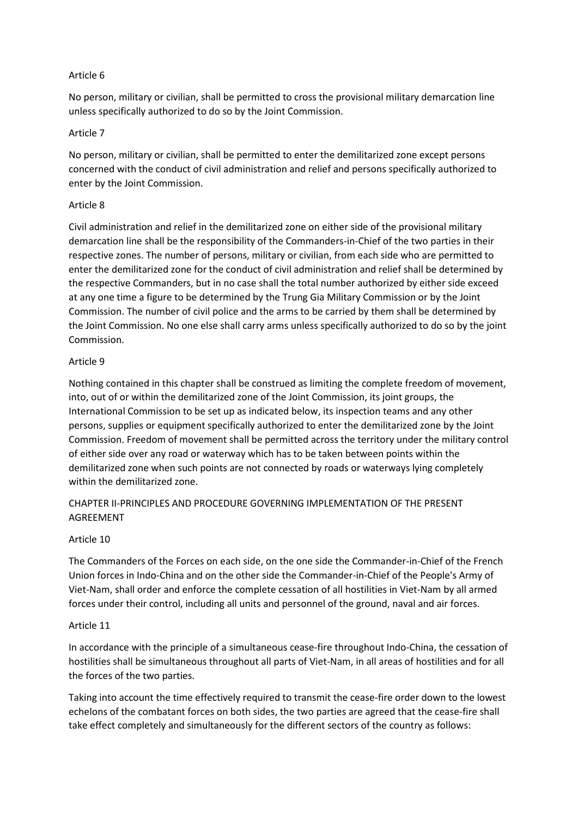#### Article 6

No person, military or civilian, shall be permitted to cross the provisional military demarcation line unless specifically authorized to do so by the Joint Commission.

#### Article 7

No person, military or civilian, shall be permitted to enter the demilitarized zone except persons concerned with the conduct of civil administration and relief and persons specifically authorized to enter by the Joint Commission.

#### Article 8

Civil administration and relief in the demilitarized zone on either side of the provisional military demarcation line shall be the responsibility of the Commanders-in-Chief of the two parties in their respective zones. The number of persons, military or civilian, from each side who are permitted to enter the demilitarized zone for the conduct of civil administration and relief shall be determined by the respective Commanders, but in no case shall the total number authorized by either side exceed at any one time a figure to be determined by the Trung Gia Military Commission or by the Joint Commission. The number of civil police and the arms to be carried by them shall be determined by the Joint Commission. No one else shall carry arms unless specifically authorized to do so by the joint Commission.

# Article 9

Nothing contained in this chapter shall be construed as limiting the complete freedom of movement, into, out of or within the demilitarized zone of the Joint Commission, its joint groups, the International Commission to be set up as indicated below, its inspection teams and any other persons, supplies or equipment specifically authorized to enter the demilitarized zone by the Joint Commission. Freedom of movement shall be permitted across the territory under the military control of either side over any road or waterway which has to be taken between points within the demilitarized zone when such points are not connected by roads or waterways lying completely within the demilitarized zone.

# CHAPTER II-PRINCIPLES AND PROCEDURE GOVERNING IMPLEMENTATION OF THE PRESENT AGREEMENT

# Article 10

The Commanders of the Forces on each side, on the one side the Commander-in-Chief of the French Union forces in Indo-China and on the other side the Commander-in-Chief of the People's Army of Viet-Nam, shall order and enforce the complete cessation of all hostilities in Viet-Nam by all armed forces under their control, including all units and personnel of the ground, naval and air forces.

# Article 11

In accordance with the principle of a simultaneous cease-fire throughout Indo-China, the cessation of hostilities shall be simultaneous throughout all parts of Viet-Nam, in all areas of hostilities and for all the forces of the two parties.

Taking into account the time effectively required to transmit the cease-fire order down to the lowest echelons of the combatant forces on both sides, the two parties are agreed that the cease-fire shall take effect completely and simultaneously for the different sectors of the country as follows: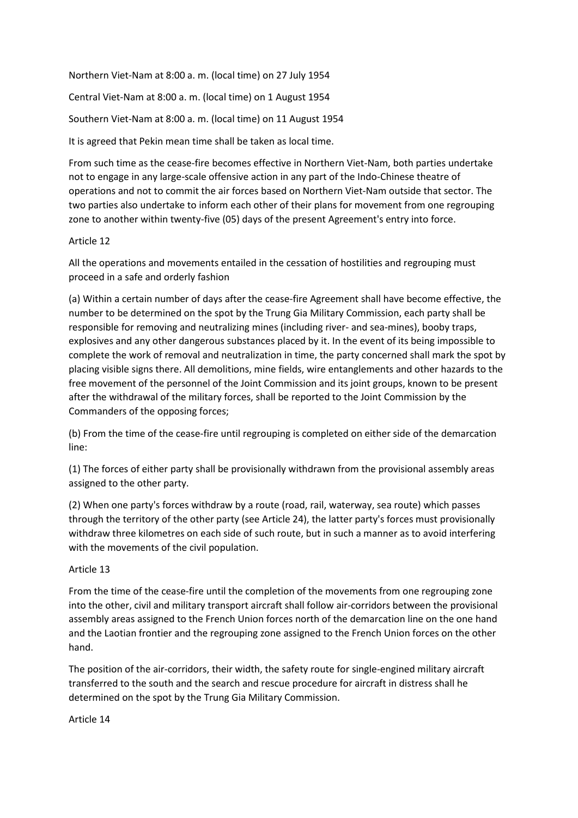Northern Viet-Nam at 8:00 a. m. (local time) on 27 July 1954

Central Viet-Nam at 8:00 a. m. (local time) on 1 August 1954

Southern Viet-Nam at 8:00 a. m. (local time) on 11 August 1954

It is agreed that Pekin mean time shall be taken as local time.

From such time as the cease-fire becomes effective in Northern Viet-Nam, both parties undertake not to engage in any large-scale offensive action in any part of the Indo-Chinese theatre of operations and not to commit the air forces based on Northern Viet-Nam outside that sector. The two parties also undertake to inform each other of their plans for movement from one regrouping zone to another within twenty-five (05) days of the present Agreement's entry into force.

# Article 12

All the operations and movements entailed in the cessation of hostilities and regrouping must proceed in a safe and orderly fashion

(a) Within a certain number of days after the cease-fire Agreement shall have become effective, the number to be determined on the spot by the Trung Gia Military Commission, each party shall be responsible for removing and neutralizing mines (including river- and sea-mines), booby traps, explosives and any other dangerous substances placed by it. In the event of its being impossible to complete the work of removal and neutralization in time, the party concerned shall mark the spot by placing visible signs there. All demolitions, mine fields, wire entanglements and other hazards to the free movement of the personnel of the Joint Commission and its joint groups, known to be present after the withdrawal of the military forces, shall be reported to the Joint Commission by the Commanders of the opposing forces;

(b) From the time of the cease-fire until regrouping is completed on either side of the demarcation line:

(1) The forces of either party shall be provisionally withdrawn from the provisional assembly areas assigned to the other party.

(2) When one party's forces withdraw by a route (road, rail, waterway, sea route) which passes through the territory of the other party (see Article 24), the latter party's forces must provisionally withdraw three kilometres on each side of such route, but in such a manner as to avoid interfering with the movements of the civil population.

# Article 13

From the time of the cease-fire until the completion of the movements from one regrouping zone into the other, civil and military transport aircraft shall follow air-corridors between the provisional assembly areas assigned to the French Union forces north of the demarcation line on the one hand and the Laotian frontier and the regrouping zone assigned to the French Union forces on the other hand.

The position of the air-corridors, their width, the safety route for single-engined military aircraft transferred to the south and the search and rescue procedure for aircraft in distress shall he determined on the spot by the Trung Gia Military Commission.

Article 14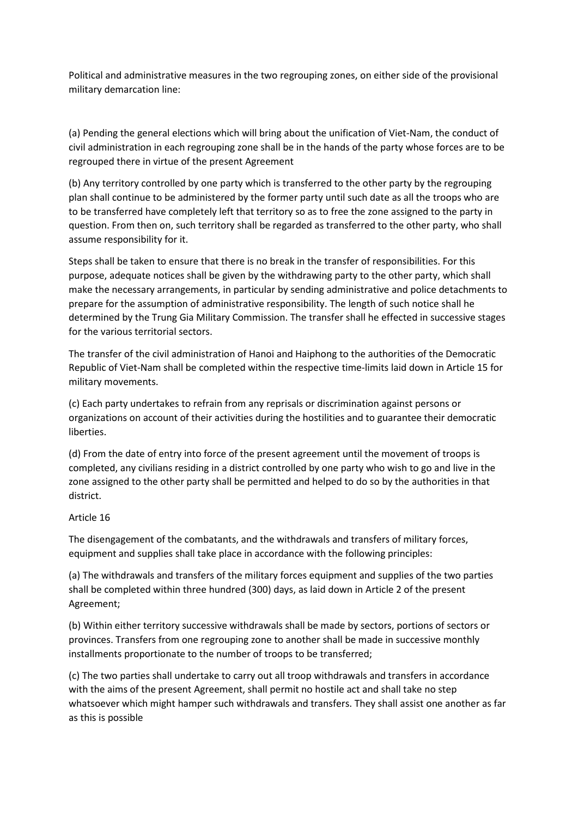Political and administrative measures in the two regrouping zones, on either side of the provisional military demarcation line:

(a) Pending the general elections which will bring about the unification of Viet-Nam, the conduct of civil administration in each regrouping zone shall be in the hands of the party whose forces are to be regrouped there in virtue of the present Agreement

(b) Any territory controlled by one party which is transferred to the other party by the regrouping plan shall continue to be administered by the former party until such date as all the troops who are to be transferred have completely left that territory so as to free the zone assigned to the party in question. From then on, such territory shall be regarded as transferred to the other party, who shall assume responsibility for it.

Steps shall be taken to ensure that there is no break in the transfer of responsibilities. For this purpose, adequate notices shall be given by the withdrawing party to the other party, which shall make the necessary arrangements, in particular by sending administrative and police detachments to prepare for the assumption of administrative responsibility. The length of such notice shall he determined by the Trung Gia Military Commission. The transfer shall he effected in successive stages for the various territorial sectors.

The transfer of the civil administration of Hanoi and Haiphong to the authorities of the Democratic Republic of Viet-Nam shall be completed within the respective time-limits laid down in Article 15 for military movements.

(c) Each party undertakes to refrain from any reprisals or discrimination against persons or organizations on account of their activities during the hostilities and to guarantee their democratic liberties.

(d) From the date of entry into force of the present agreement until the movement of troops is completed, any civilians residing in a district controlled by one party who wish to go and live in the zone assigned to the other party shall be permitted and helped to do so by the authorities in that district.

# Article 16

The disengagement of the combatants, and the withdrawals and transfers of military forces, equipment and supplies shall take place in accordance with the following principles:

(a) The withdrawals and transfers of the military forces equipment and supplies of the two parties shall be completed within three hundred (300) days, as laid down in Article 2 of the present Agreement;

(b) Within either territory successive withdrawals shall be made by sectors, portions of sectors or provinces. Transfers from one regrouping zone to another shall be made in successive monthly installments proportionate to the number of troops to be transferred;

(c) The two parties shall undertake to carry out all troop withdrawals and transfers in accordance with the aims of the present Agreement, shall permit no hostile act and shall take no step whatsoever which might hamper such withdrawals and transfers. They shall assist one another as far as this is possible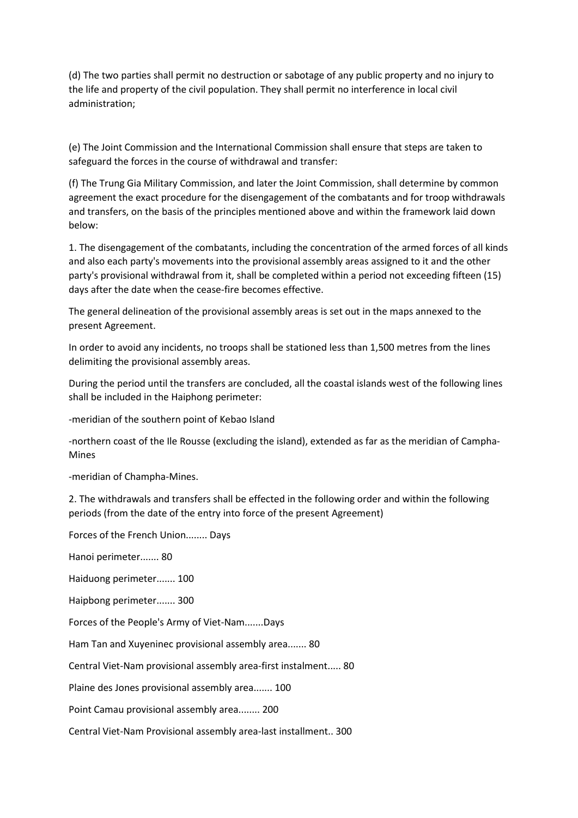(d) The two parties shall permit no destruction or sabotage of any public property and no injury to the life and property of the civil population. They shall permit no interference in local civil administration;

(e) The Joint Commission and the International Commission shall ensure that steps are taken to safeguard the forces in the course of withdrawal and transfer:

(f) The Trung Gia Military Commission, and later the Joint Commission, shall determine by common agreement the exact procedure for the disengagement of the combatants and for troop withdrawals and transfers, on the basis of the principles mentioned above and within the framework laid down below:

1. The disengagement of the combatants, including the concentration of the armed forces of all kinds and also each party's movements into the provisional assembly areas assigned to it and the other party's provisional withdrawal from it, shall be completed within a period not exceeding fifteen (15) days after the date when the cease-fire becomes effective.

The general delineation of the provisional assembly areas is set out in the maps annexed to the present Agreement.

In order to avoid any incidents, no troops shall be stationed less than 1,500 metres from the lines delimiting the provisional assembly areas.

During the period until the transfers are concluded, all the coastal islands west of the following lines shall be included in the Haiphong perimeter:

-meridian of the southern point of Kebao Island

-northern coast of the Ile Rousse (excluding the island), extended as far as the meridian of Campha-Mines

-meridian of Champha-Mines.

2. The withdrawals and transfers shall be effected in the following order and within the following periods (from the date of the entry into force of the present Agreement)

Forces of the French Union........ Days

Hanoi perimeter....... 80

Haiduong perimeter....... 100

Haipbong perimeter....... 300

Forces of the People's Army of Viet-Nam.......Days

Ham Tan and Xuyeninec provisional assembly area....... 80

Central Viet-Nam provisional assembly area-first instalment..... 80

Plaine des Jones provisional assembly area....... 100

Point Camau provisional assembly area........ 200

Central Viet-Nam Provisional assembly area-last installment.. 300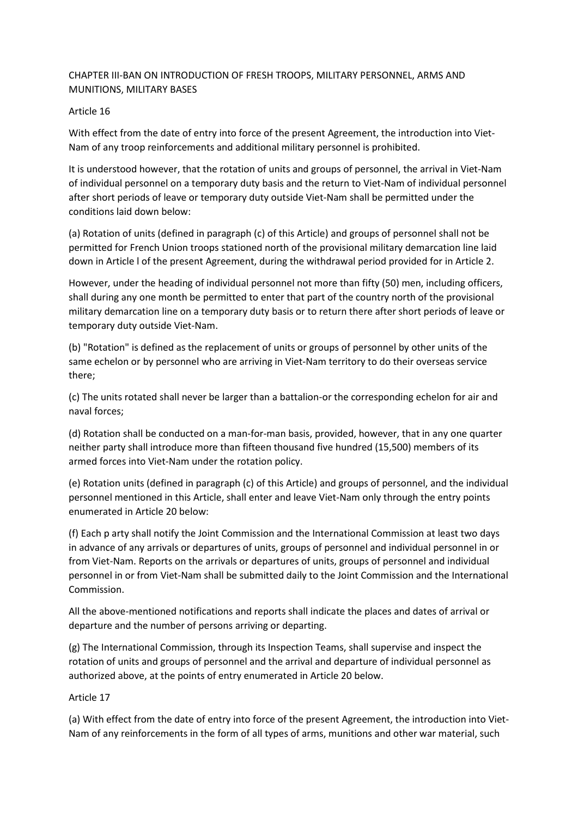# CHAPTER III-BAN ON INTRODUCTION OF FRESH TROOPS, MILITARY PERSONNEL, ARMS AND MUNITIONS, MILITARY BASES

# Article 16

With effect from the date of entry into force of the present Agreement, the introduction into Viet-Nam of any troop reinforcements and additional military personnel is prohibited.

It is understood however, that the rotation of units and groups of personnel, the arrival in Viet-Nam of individual personnel on a temporary duty basis and the return to Viet-Nam of individual personnel after short periods of leave or temporary duty outside Viet-Nam shall be permitted under the conditions laid down below:

(a) Rotation of units (defined in paragraph (c) of this Article) and groups of personnel shall not be permitted for French Union troops stationed north of the provisional military demarcation line laid down in Article l of the present Agreement, during the withdrawal period provided for in Article 2.

However, under the heading of individual personnel not more than fifty (50) men, including officers, shall during any one month be permitted to enter that part of the country north of the provisional military demarcation line on a temporary duty basis or to return there after short periods of leave or temporary duty outside Viet-Nam.

(b) "Rotation" is defined as the replacement of units or groups of personnel by other units of the same echelon or by personnel who are arriving in Viet-Nam territory to do their overseas service there;

(c) The units rotated shall never be larger than a battalion-or the corresponding echelon for air and naval forces;

(d) Rotation shall be conducted on a man-for-man basis, provided, however, that in any one quarter neither party shall introduce more than fifteen thousand five hundred (15,500) members of its armed forces into Viet-Nam under the rotation policy.

(e) Rotation units (defined in paragraph (c) of this Article) and groups of personnel, and the individual personnel mentioned in this Article, shall enter and leave Viet-Nam only through the entry points enumerated in Article 20 below:

(f) Each p arty shall notify the Joint Commission and the International Commission at least two days in advance of any arrivals or departures of units, groups of personnel and individual personnel in or from Viet-Nam. Reports on the arrivals or departures of units, groups of personnel and individual personnel in or from Viet-Nam shall be submitted daily to the Joint Commission and the International Commission.

All the above-mentioned notifications and reports shall indicate the places and dates of arrival or departure and the number of persons arriving or departing.

(g) The International Commission, through its Inspection Teams, shall supervise and inspect the rotation of units and groups of personnel and the arrival and departure of individual personnel as authorized above, at the points of entry enumerated in Article 20 below.

# Article 17

(a) With effect from the date of entry into force of the present Agreement, the introduction into Viet-Nam of any reinforcements in the form of all types of arms, munitions and other war material, such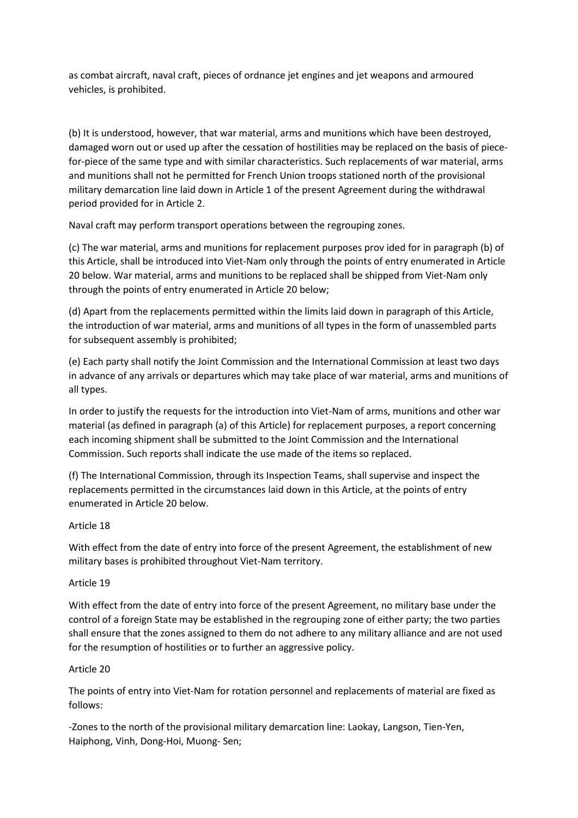as combat aircraft, naval craft, pieces of ordnance jet engines and jet weapons and armoured vehicles, is prohibited.

(b) It is understood, however, that war material, arms and munitions which have been destroyed, damaged worn out or used up after the cessation of hostilities may be replaced on the basis of piecefor-piece of the same type and with similar characteristics. Such replacements of war material, arms and munitions shall not he permitted for French Union troops stationed north of the provisional military demarcation line laid down in Article 1 of the present Agreement during the withdrawal period provided for in Article 2.

Naval craft may perform transport operations between the regrouping zones.

(c) The war material, arms and munitions for replacement purposes prov ided for in paragraph (b) of this Article, shall be introduced into Viet-Nam only through the points of entry enumerated in Article 20 below. War material, arms and munitions to be replaced shall be shipped from Viet-Nam only through the points of entry enumerated in Article 20 below;

(d) Apart from the replacements permitted within the limits laid down in paragraph of this Article, the introduction of war material, arms and munitions of all types in the form of unassembled parts for subsequent assembly is prohibited;

(e) Each party shall notify the Joint Commission and the International Commission at least two days in advance of any arrivals or departures which may take place of war material, arms and munitions of all types.

In order to justify the requests for the introduction into Viet-Nam of arms, munitions and other war material (as defined in paragraph (a) of this Article) for replacement purposes, a report concerning each incoming shipment shall be submitted to the Joint Commission and the International Commission. Such reports shall indicate the use made of the items so replaced.

(f) The International Commission, through its Inspection Teams, shall supervise and inspect the replacements permitted in the circumstances laid down in this Article, at the points of entry enumerated in Article 20 below.

# Article 18

With effect from the date of entry into force of the present Agreement, the establishment of new military bases is prohibited throughout Viet-Nam territory.

#### Article 19

With effect from the date of entry into force of the present Agreement, no military base under the control of a foreign State may be established in the regrouping zone of either party; the two parties shall ensure that the zones assigned to them do not adhere to any military alliance and are not used for the resumption of hostilities or to further an aggressive policy.

#### Article 20

The points of entry into Viet-Nam for rotation personnel and replacements of material are fixed as follows:

-Zones to the north of the provisional military demarcation line: Laokay, Langson, Tien-Yen, Haiphong, Vinh, Dong-Hoi, Muong- Sen;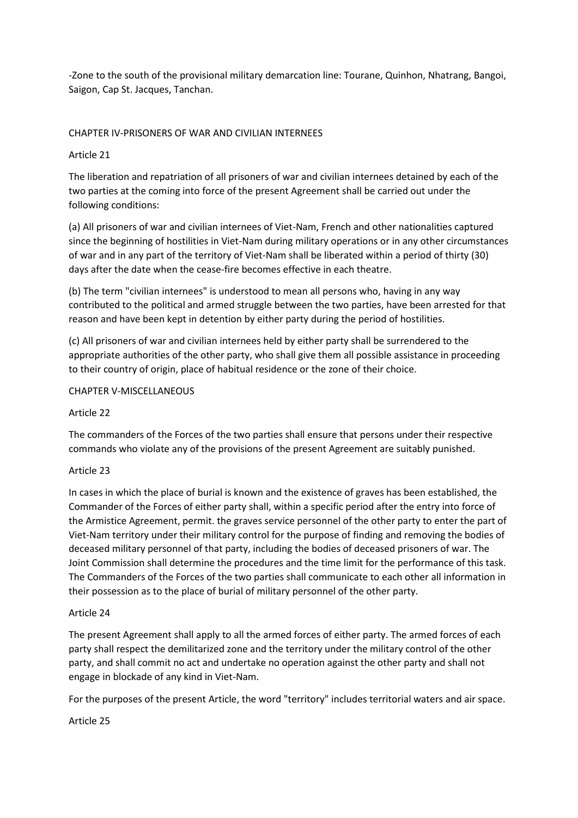-Zone to the south of the provisional military demarcation line: Tourane, Quinhon, Nhatrang, Bangoi, Saigon, Cap St. Jacques, Tanchan.

#### CHAPTER IV-PRISONERS OF WAR AND CIVILIAN INTERNEES

#### Article 21

The liberation and repatriation of all prisoners of war and civilian internees detained by each of the two parties at the coming into force of the present Agreement shall be carried out under the following conditions:

(a) All prisoners of war and civilian internees of Viet-Nam, French and other nationalities captured since the beginning of hostilities in Viet-Nam during military operations or in any other circumstances of war and in any part of the territory of Viet-Nam shall be liberated within a period of thirty (30) days after the date when the cease-fire becomes effective in each theatre.

(b) The term "civilian internees" is understood to mean all persons who, having in any way contributed to the political and armed struggle between the two parties, have been arrested for that reason and have been kept in detention by either party during the period of hostilities.

(c) All prisoners of war and civilian internees held by either party shall be surrendered to the appropriate authorities of the other party, who shall give them all possible assistance in proceeding to their country of origin, place of habitual residence or the zone of their choice.

#### CHAPTER V-MISCELLANEOUS

#### Article 22

The commanders of the Forces of the two parties shall ensure that persons under their respective commands who violate any of the provisions of the present Agreement are suitably punished.

# Article 23

In cases in which the place of burial is known and the existence of graves has been established, the Commander of the Forces of either party shall, within a specific period after the entry into force of the Armistice Agreement, permit. the graves service personnel of the other party to enter the part of Viet-Nam territory under their military control for the purpose of finding and removing the bodies of deceased military personnel of that party, including the bodies of deceased prisoners of war. The Joint Commission shall determine the procedures and the time limit for the performance of this task. The Commanders of the Forces of the two parties shall communicate to each other all information in their possession as to the place of burial of military personnel of the other party.

#### Article 24

The present Agreement shall apply to all the armed forces of either party. The armed forces of each party shall respect the demilitarized zone and the territory under the military control of the other party, and shall commit no act and undertake no operation against the other party and shall not engage in blockade of any kind in Viet-Nam.

For the purposes of the present Article, the word "territory" includes territorial waters and air space.

#### Article 25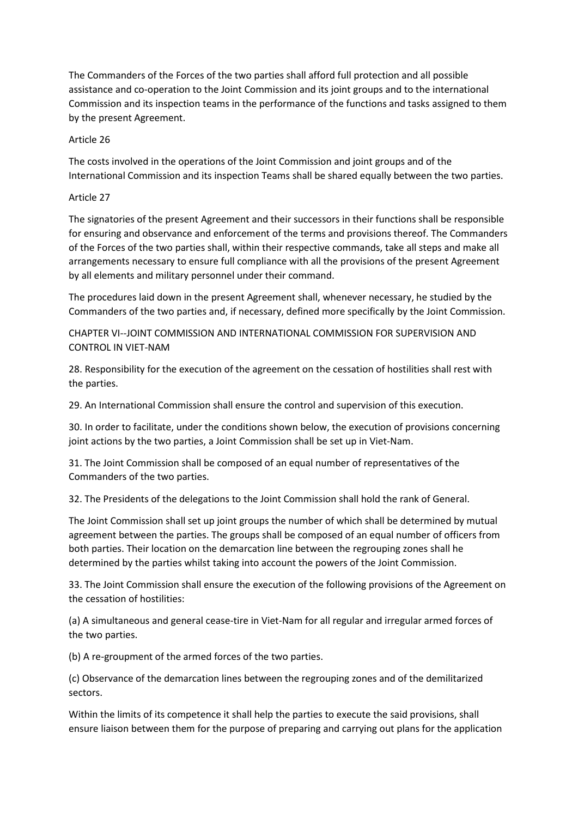The Commanders of the Forces of the two parties shall afford full protection and all possible assistance and co-operation to the Joint Commission and its joint groups and to the international Commission and its inspection teams in the performance of the functions and tasks assigned to them by the present Agreement.

#### Article 26

The costs involved in the operations of the Joint Commission and joint groups and of the International Commission and its inspection Teams shall be shared equally between the two parties.

#### Article 27

The signatories of the present Agreement and their successors in their functions shall be responsible for ensuring and observance and enforcement of the terms and provisions thereof. The Commanders of the Forces of the two parties shall, within their respective commands, take all steps and make all arrangements necessary to ensure full compliance with all the provisions of the present Agreement by all elements and military personnel under their command.

The procedures laid down in the present Agreement shall, whenever necessary, he studied by the Commanders of the two parties and, if necessary, defined more specifically by the Joint Commission.

CHAPTER VI--JOINT COMMISSION AND INTERNATIONAL COMMISSION FOR SUPERVISION AND CONTROL IN VIET-NAM

28. Responsibility for the execution of the agreement on the cessation of hostilities shall rest with the parties.

29. An International Commission shall ensure the control and supervision of this execution.

30. In order to facilitate, under the conditions shown below, the execution of provisions concerning joint actions by the two parties, a Joint Commission shall be set up in Viet-Nam.

31. The Joint Commission shall be composed of an equal number of representatives of the Commanders of the two parties.

32. The Presidents of the delegations to the Joint Commission shall hold the rank of General.

The Joint Commission shall set up joint groups the number of which shall be determined by mutual agreement between the parties. The groups shall be composed of an equal number of officers from both parties. Their location on the demarcation line between the regrouping zones shall he determined by the parties whilst taking into account the powers of the Joint Commission.

33. The Joint Commission shall ensure the execution of the following provisions of the Agreement on the cessation of hostilities:

(a) A simultaneous and general cease-tire in Viet-Nam for all regular and irregular armed forces of the two parties.

(b) A re-groupment of the armed forces of the two parties.

(c) Observance of the demarcation lines between the regrouping zones and of the demilitarized sectors.

Within the limits of its competence it shall help the parties to execute the said provisions, shall ensure liaison between them for the purpose of preparing and carrying out plans for the application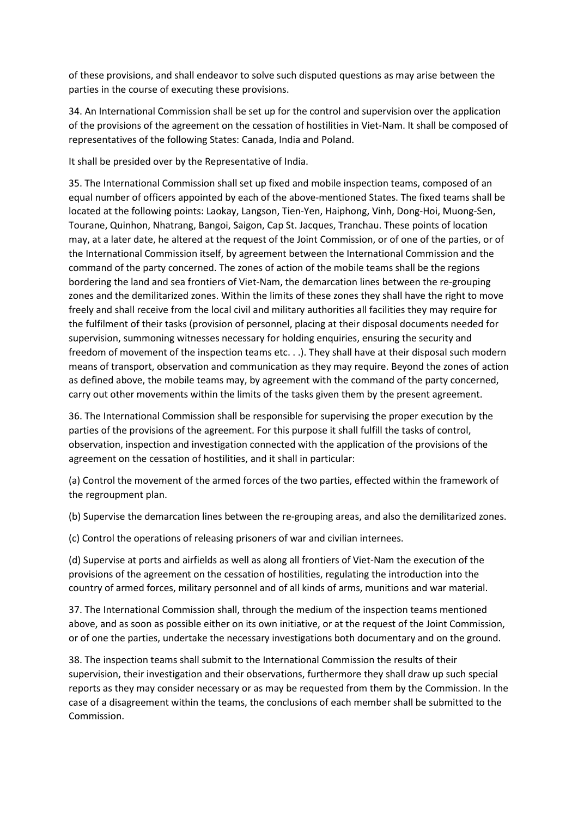of these provisions, and shall endeavor to solve such disputed questions as may arise between the parties in the course of executing these provisions.

34. An International Commission shall be set up for the control and supervision over the application of the provisions of the agreement on the cessation of hostilities in Viet-Nam. It shall be composed of representatives of the following States: Canada, India and Poland.

It shall be presided over by the Representative of India.

35. The International Commission shall set up fixed and mobile inspection teams, composed of an equal number of officers appointed by each of the above-mentioned States. The fixed teams shall be located at the following points: Laokay, Langson, Tien-Yen, Haiphong, Vinh, Dong-Hoi, Muong-Sen, Tourane, Quinhon, Nhatrang, Bangoi, Saigon, Cap St. Jacques, Tranchau. These points of location may, at a later date, he altered at the request of the Joint Commission, or of one of the parties, or of the International Commission itself, by agreement between the International Commission and the command of the party concerned. The zones of action of the mobile teams shall be the regions bordering the land and sea frontiers of Viet-Nam, the demarcation lines between the re-grouping zones and the demilitarized zones. Within the limits of these zones they shall have the right to move freely and shall receive from the local civil and military authorities all facilities they may require for the fulfilment of their tasks (provision of personnel, placing at their disposal documents needed for supervision, summoning witnesses necessary for holding enquiries, ensuring the security and freedom of movement of the inspection teams etc. . .). They shall have at their disposal such modern means of transport, observation and communication as they may require. Beyond the zones of action as defined above, the mobile teams may, by agreement with the command of the party concerned, carry out other movements within the limits of the tasks given them by the present agreement.

36. The International Commission shall be responsible for supervising the proper execution by the parties of the provisions of the agreement. For this purpose it shall fulfill the tasks of control, observation, inspection and investigation connected with the application of the provisions of the agreement on the cessation of hostilities, and it shall in particular:

(a) Control the movement of the armed forces of the two parties, effected within the framework of the regroupment plan.

(b) Supervise the demarcation lines between the re-grouping areas, and also the demilitarized zones.

(c) Control the operations of releasing prisoners of war and civilian internees.

(d) Supervise at ports and airfields as well as along all frontiers of Viet-Nam the execution of the provisions of the agreement on the cessation of hostilities, regulating the introduction into the country of armed forces, military personnel and of all kinds of arms, munitions and war material.

37. The International Commission shall, through the medium of the inspection teams mentioned above, and as soon as possible either on its own initiative, or at the request of the Joint Commission, or of one the parties, undertake the necessary investigations both documentary and on the ground.

38. The inspection teams shall submit to the International Commission the results of their supervision, their investigation and their observations, furthermore they shall draw up such special reports as they may consider necessary or as may be requested from them by the Commission. In the case of a disagreement within the teams, the conclusions of each member shall be submitted to the Commission.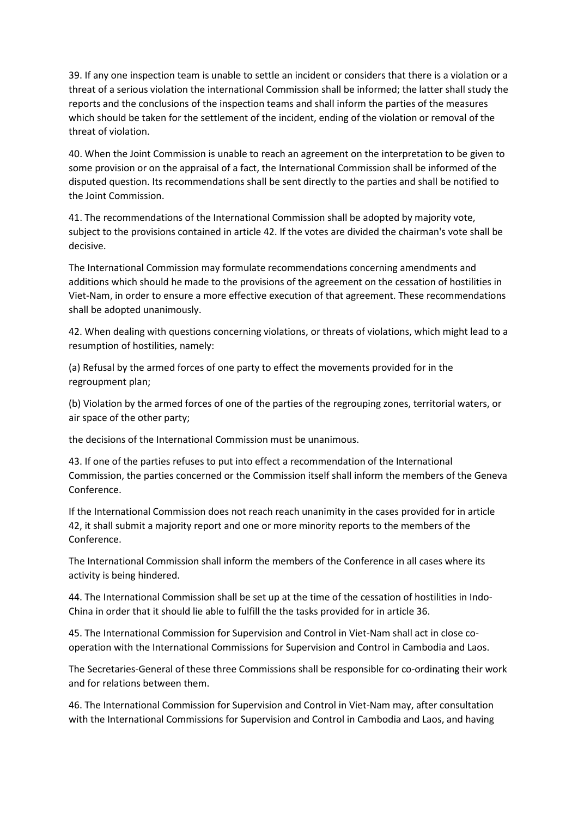39. If any one inspection team is unable to settle an incident or considers that there is a violation or a threat of a serious violation the international Commission shall be informed; the latter shall study the reports and the conclusions of the inspection teams and shall inform the parties of the measures which should be taken for the settlement of the incident, ending of the violation or removal of the threat of violation.

40. When the Joint Commission is unable to reach an agreement on the interpretation to be given to some provision or on the appraisal of a fact, the International Commission shall be informed of the disputed question. Its recommendations shall be sent directly to the parties and shall be notified to the Joint Commission.

41. The recommendations of the International Commission shall be adopted by majority vote, subject to the provisions contained in article 42. If the votes are divided the chairman's vote shall be decisive.

The International Commission may formulate recommendations concerning amendments and additions which should he made to the provisions of the agreement on the cessation of hostilities in Viet-Nam, in order to ensure a more effective execution of that agreement. These recommendations shall be adopted unanimously.

42. When dealing with questions concerning violations, or threats of violations, which might lead to a resumption of hostilities, namely:

(a) Refusal by the armed forces of one party to effect the movements provided for in the regroupment plan;

(b) Violation by the armed forces of one of the parties of the regrouping zones, territorial waters, or air space of the other party;

the decisions of the International Commission must be unanimous.

43. If one of the parties refuses to put into effect a recommendation of the International Commission, the parties concerned or the Commission itself shall inform the members of the Geneva Conference.

If the International Commission does not reach reach unanimity in the cases provided for in article 42, it shall submit a majority report and one or more minority reports to the members of the Conference.

The International Commission shall inform the members of the Conference in all cases where its activity is being hindered.

44. The International Commission shall be set up at the time of the cessation of hostilities in Indo-China in order that it should lie able to fulfill the the tasks provided for in article 36.

45. The International Commission for Supervision and Control in Viet-Nam shall act in close cooperation with the International Commissions for Supervision and Control in Cambodia and Laos.

The Secretaries-General of these three Commissions shall be responsible for co-ordinating their work and for relations between them.

46. The International Commission for Supervision and Control in Viet-Nam may, after consultation with the International Commissions for Supervision and Control in Cambodia and Laos, and having